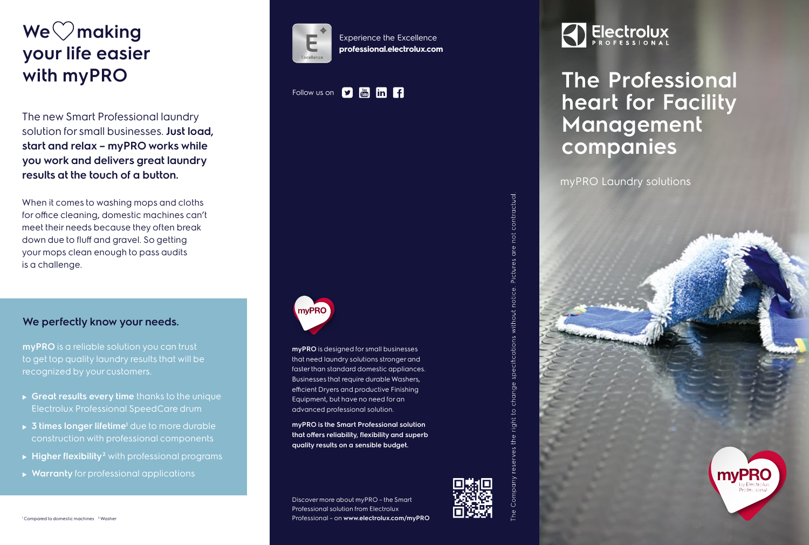# **We**  $\heartsuit$  making **your life easier with myPRO**

The new Smart Professional laundry solution for small businesses. **Just load, start and relax – myPRO works while you work and delivers great laundry results at the touch of a button.** 

When it comes to washing mops and cloths for office cleaning, domestic machines can't meet their needs because they often break down due to fluff and gravel. So getting your mops clean enough to pass audits is a challenge.

### **We perfectly know your needs.**

**myPRO** is a reliable solution you can trust to get top quality laundry results that will be recognized by your customers.

- **Great results every time** thanks to the unique Electrolux Professional SpeedCare drum
- **► 3 times longer lifetime<sup>1</sup> due to more durable** construction with professional components
- ► Higher flexibility<sup>2</sup> with professional programs
- **Warranty** for professional applications



Experience the Excellence **professional.electrolux.com**

### Follow us on **D in in f**



**myPRO** is designed for small businesses that need laundry solutions stronger and faster than standard domestic appliances. Businesses that require durable Washers, efficient Dryers and productive Finishing Equipment, but have no need for an advanced professional solution.

**myPRO is the Smart Professional solution that offers reliability, flexibility and superb quality results on a sensible budget.**

Discover more about myPRO – the Smart Professional solution from Electrolux Professional – on **www.electrolux.com/myPRO**



## **The Professional heart for Facility Management companies**

myPRO Laundry solutions

contractual

Pictures o

without notice.

change specifications

 $\overline{Q}$